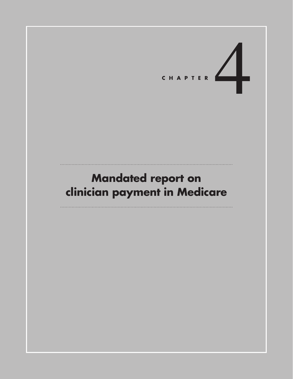# CHAPTER

# **Mandated report on clinician payment in Medicare**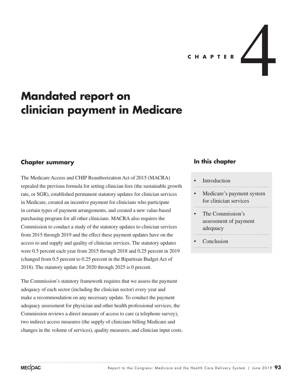

# **Mandated report on clinician payment in Medicare**

### **Chapter summary**

The Medicare Access and CHIP Reauthorization Act of 2015 (MACRA) repealed the previous formula for setting clinician fees (the sustainable growth rate, or SGR), established permanent statutory updates for clinician services in Medicare, created an incentive payment for clinicians who participate in certain types of payment arrangements, and created a new value-based purchasing program for all other clinicians. MACRA also requires the Commission to conduct a study of the statutory updates to clinician services from 2015 through 2019 and the effect these payment updates have on the access to and supply and quality of clinician services. The statutory updates were 0.5 percent each year from 2015 through 2018 and 0.25 percent in 2019 (changed from 0.5 percent to 0.25 percent in the Bipartisan Budget Act of 2018). The statutory update for 2020 through 2025 is 0 percent.

The Commission's statutory framework requires that we assess the payment adequacy of each sector (including the clinician sector) every year and make a recommendation on any necessary update. To conduct the payment adequacy assessment for physician and other health professional services, the Commission reviews a direct measure of access to care (a telephone survey), two indirect access measures (the supply of clinicians billing Medicare and changes in the volume of services), quality measures, and clinician input costs.

### **In this chapter**

### **Introduction**

- Medicare's payment system for clinician services
- The Commission's assessment of payment adequacy
- **Conclusion**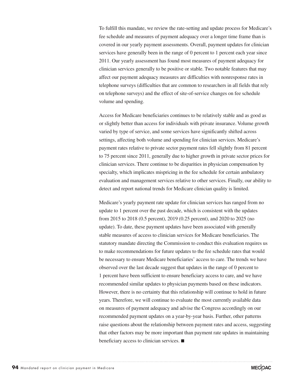To fulfill this mandate, we review the rate-setting and update process for Medicare's fee schedule and measures of payment adequacy over a longer time frame than is covered in our yearly payment assessments. Overall, payment updates for clinician services have generally been in the range of 0 percent to 1 percent each year since 2011. Our yearly assessment has found most measures of payment adequacy for clinician services generally to be positive or stable. Two notable features that may affect our payment adequacy measures are difficulties with nonresponse rates in telephone surveys (difficulties that are common to researchers in all fields that rely on telephone surveys) and the effect of site-of-service changes on fee schedule volume and spending.

Access for Medicare beneficiaries continues to be relatively stable and as good as or slightly better than access for individuals with private insurance. Volume growth varied by type of service, and some services have significantly shifted across settings, affecting both volume and spending for clinician services. Medicare's payment rates relative to private sector payment rates fell slightly from 81 percent to 75 percent since 2011, generally due to higher growth in private sector prices for clinician services. There continue to be disparities in physician compensation by specialty, which implicates mispricing in the fee schedule for certain ambulatory evaluation and management services relative to other services. Finally, our ability to detect and report national trends for Medicare clinician quality is limited.

Medicare's yearly payment rate update for clinician services has ranged from no update to 1 percent over the past decade, which is consistent with the updates from 2015 to 2018 (0.5 percent), 2019 (0.25 percent), and 2020 to 2025 (no update). To date, these payment updates have been associated with generally stable measures of access to clinician services for Medicare beneficiaries. The statutory mandate directing the Commission to conduct this evaluation requires us to make recommendations for future updates to the fee schedule rates that would be necessary to ensure Medicare beneficiaries' access to care. The trends we have observed over the last decade suggest that updates in the range of 0 percent to 1 percent have been sufficient to ensure beneficiary access to care, and we have recommended similar updates to physician payments based on these indicators. However, there is no certainty that this relationship will continue to hold in future years. Therefore, we will continue to evaluate the most currently available data on measures of payment adequacy and advise the Congress accordingly on our recommended payment updates on a year-by-year basis. Further, other patterns raise questions about the relationship between payment rates and access, suggesting that other factors may be more important than payment rate updates in maintaining beneficiary access to clinician services. ■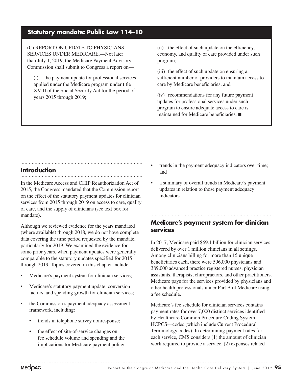### **Statutory mandate: Public Law 114–10**

(C) REPORT ON UPDATE TO PHYSICIANS' SERVICES UNDER MEDICARE.—Not later than July 1, 2019, the Medicare Payment Advisory Commission shall submit to Congress a report on—

(i) the payment update for professional services applied under the Medicare program under title XVIII of the Social Security Act for the period of years 2015 through 2019;

(ii) the effect of such update on the efficiency, economy, and quality of care provided under such program;

(iii) the effect of such update on ensuring a sufficient number of providers to maintain access to care by Medicare beneficiaries; and

(iv) recommendations for any future payment updates for professional services under such program to ensure adequate access to care is maintained for Medicare beneficiaries. ■

### **Introduction**

In the Medicare Access and CHIP Reauthorization Act of 2015, the Congress mandated that the Commission report on the effect of the statutory payment updates for clinician services from 2015 through 2019 on access to care, quality of care, and the supply of clinicians (see text box for mandate).

Although we reviewed evidence for the years mandated (where available) through 2018, we do not have complete data covering the time period requested by the mandate, particularly for 2019. We examined the evidence for some prior years, when payment updates were generally comparable to the statutory updates specified for 2015 through 2019. Topics covered in this chapter include:

- Medicare's payment system for clinician services;
- Medicare's statutory payment update, conversion factors, and spending growth for clinician services;
- the Commission's payment adequacy assessment framework, including:
	- trends in telephone survey nonresponse;
	- the effect of site-of-service changes on fee schedule volume and spending and the implications for Medicare payment policy;
- trends in the payment adequacy indicators over time; and
- a summary of overall trends in Medicare's payment updates in relation to those payment adequacy indicators.

### **Medicare's payment system for clinician services**

In 2017, Medicare paid \$69.1 billion for clinician services delivered by over 1 million clinicians in all settings.<sup>1</sup> Among clinicians billing for more than 15 unique beneficiaries each, there were 596,000 physicians and 389,000 advanced practice registered nurses, physician assistants, therapists, chiropractors, and other practitioners. Medicare pays for the services provided by physicians and other health professionals under Part B of Medicare using a fee schedule.

Medicare's fee schedule for clinician services contains payment rates for over 7,000 distinct services identified by Healthcare Common Procedure Coding System— HCPCS—codes (which include Current Procedural Terminology codes). In determining payment rates for each service, CMS considers (1) the amount of clinician work required to provide a service, (2) expenses related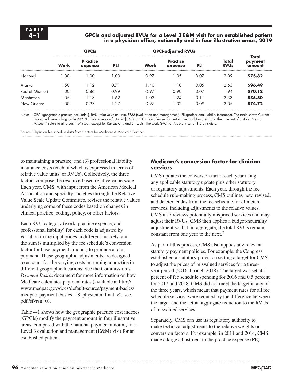### **4–1 GPCIs and adjusted RVUs for a Level 3 E&M visit for an established patient in a physician office, nationally and in four illustrative areas, 2019**

|                  |      | <b>GPCIs</b>               |            |      | <b>GPCI-adjusted RVUs</b>  |      |                                 |                            |
|------------------|------|----------------------------|------------|------|----------------------------|------|---------------------------------|----------------------------|
|                  | Work | <b>Practice</b><br>expense | <b>PLI</b> | Work | <b>Practice</b><br>expense | PLI  | Total<br><b>RVU<sub>s</sub></b> | Total<br>payment<br>amount |
| National         | .00  | .00                        | l .00      | 0.97 | .05                        | 0.07 | 2.09                            | \$75.32                    |
| Alaska           | .50  | l.12                       | 0.71       | 1.46 | .18                        | 0.05 | 2.65                            | \$96.49                    |
| Rest of Missouri | 00.  | 0.86                       | 0.99       | 0.97 | 0.90                       | 0.07 | .94                             | \$70.12                    |
| Manhattan        | 0.05 | .18                        | 1.62       | 1.02 | $\cdot$ 24                 | 0.11 | 2.33                            | \$85.50                    |
| New Orleans      | .00  | 0.97                       | .27        | 0.97 | l .02                      | 0.09 | 2.05                            | \$74.72                    |

Note: GPCI (geographic practice cost index), RVU (relative value unit), E&M (evaluation and management), PLI (professional liability insurance). The table shows Current Procedural Terminology code 99213. The conversion factor is \$36.04. GPCIs are often set for certain metropolitan areas and then the rest of a state; "Rest of Missouri" refers to all areas in Missouri except for Kansas City and St. Louis. The work GPCI for Alaska is set at 1.5 by statute.

Source: Physician fee schedule data from Centers for Medicare & Medicaid Services.

to maintaining a practice, and (3) professional liability insurance costs (each of which is expressed in terms of relative value units, or RVUs). Collectively, the three factors compose the resource-based relative value scale. Each year, CMS, with input from the American Medical Association and specialty societies through the Relative Value Scale Update Committee, revises the relative values underlying some of these codes based on changes in clinical practice, coding, policy, or other factors.

Each RVU category (work, practice expense, and professional liability) for each code is adjusted by variation in the input prices in different markets, and the sum is multiplied by the fee schedule's conversion factor (or base payment amount) to produce a total payment. These geographic adjustments are designed to account for the varying costs in running a practice in different geographic locations. See the Commission's *Payment Basics* document for more information on how Medicare calculates payment rates (available at http:// www.medpac.gov/docs/default-source/payment-basics/ medpac\_payment\_basics\_18\_physician\_final\_v2\_sec. pdf?sfvrsn=0).

Table 4-1 shows how the geographic practice cost indexes (GPCIs) modify the payment amount in four illustrative areas, compared with the national payment amount, for a Level 3 evaluation and management (E&M) visit for an established patient.

### **Medicare's conversion factor for clinician services**

CMS updates the conversion factor each year using any applicable statutory update plus other statutory or regulatory adjustments. Each year, through the fee schedule rule-making process, CMS outlines new, revised, and deleted codes from the fee schedule for clinician services, including adjustments to the relative values. CMS also reviews potentially mispriced services and may adjust their RVUs. CMS then applies a budget-neutrality adjustment so that, in aggregate, the total RVUs remain constant from one year to the next.<sup>2</sup>

As part of this process, CMS also applies any relevant statutory payment policies. For example, the Congress established a statutory provision setting a target for CMS to adjust the prices of misvalued services for a threeyear period (2016 through 2018). The target was set at 1 percent of fee schedule spending for 2016 and 0.5 percent for 2017 and 2018. CMS did not meet the target in any of the three years, which meant that payment rates for all fee schedule services were reduced by the difference between the target and the actual aggregate reduction to the RVUs of misvalued services.

Separately, CMS can use its regulatory authority to make technical adjustments to the relative weights or conversion factors. For example, in 2011 and 2014, CMS made a large adjustment to the practice expense (PE)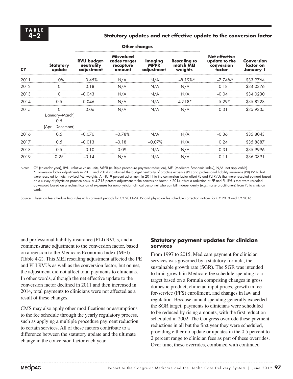### **4–2 Statutory updates and net effective update to the conversion factor**

| <b>CY</b> | <b>Statutory</b><br>update                             | <b>RVU budget-</b><br>neutrality<br>adjustment | <b>Misvalued</b><br>codes target<br>recapture<br>amount | Imaging<br><b>MPPR</b><br>adjustment | <b>Rescaling to</b><br>match MEI<br>weights | <b>Net effective</b><br>update to the<br>conversion<br>factor | <b>Conversion</b><br>factor on<br>January 1 |
|-----------|--------------------------------------------------------|------------------------------------------------|---------------------------------------------------------|--------------------------------------|---------------------------------------------|---------------------------------------------------------------|---------------------------------------------|
| 2011      | $0\%$                                                  | 0.45%                                          | N/A                                                     | N/A                                  | $-8.19\%$ *                                 | $-7.74\%$ *                                                   | \$33.9764                                   |
| 2012      | $\Omega$                                               | 0.18                                           | N/A                                                     | N/A                                  | N/A                                         | 0.18                                                          | \$34.0376                                   |
| 2013      | $\Omega$                                               | $-0.043$                                       | N/A                                                     | N/A                                  | N/A                                         | $-0.04$                                                       | \$34.0230                                   |
| 2014      | 0.5                                                    | 0.046                                          | N/A                                                     | N/A                                  | $4.718*$                                    | $5.29*$                                                       | \$35.8228                                   |
| 2015      | $\Omega$<br>(January–March)<br>0.5<br>(April–December) | $-0.06$                                        | N/A                                                     | N/A                                  | N/A                                         | 0.31                                                          | \$35.9335                                   |
| 2016      | 0.5                                                    | $-0.076$                                       | $-0.78%$                                                | N/A                                  | N/A                                         | $-0.36$                                                       | \$35,8043                                   |
| 2017      | 0.5                                                    | $-0.013$                                       | $-0.18$                                                 | $-0.07%$                             | N/A                                         | 0.24                                                          | \$35.8887                                   |
| 2018      | 0.5                                                    | $-0.10$                                        | $-0.09$                                                 | N/A                                  | N/A                                         | 0.31                                                          | \$35.9996                                   |
| 2019      | 0.25                                                   | $-0.14$                                        | N/A                                                     | N/A                                  | N/A                                         | 0.11                                                          | \$36.0391                                   |

**Other changes**

Note: CY (calendar year), RVU (relative value unit), MPPR (multiple procedure payment reduction), MEI (Medicare Economic Index), N/A (not applicable). \*Conversion factor adjustments in 2011 and 2014 maintained the budget neutrality of practice expense (PE) and professional liability insurance (PLI) RVUs that were rescaled to match revised MEI weights. A −8.19 percent adjustment in 2011 to the conversion factor offset PE and PLI RVUs that were rescaled upward based on a survey of physician practice costs. A 4.718 percent adjustment to the conversion factor in 2014 offset a reduction of PE and PLI RVUs that were rescaled downward based on a reclassification of expenses for nonphysician clinical personnel who can bill independently (e.g., nurse practitioners) from PE to clinician work.

Source: Physician fee schedule final rules with comment periods for CY 2011–2019 and physician fee schedule correction notices for CY 2013 and CY 2016.

and professional liability insurance (PLI) RVUs, and a commensurate adjustment to the conversion factor, based on a revision to the Medicare Economic Index (MEI) (Table 4-2). This MEI rescaling adjustment affected the PE and PLI RVUs as well as the conversion factor, but on net, the adjustment did not affect total payments to clinicians. In other words, although the net effective update to the conversion factor declined in 2011 and then increased in 2014, total payments to clinicians were not affected as a result of these changes.

CMS may also apply other modifications or assumptions to the fee schedule through the yearly regulatory process, such as applying a multiple procedure payment reduction to certain services. All of these factors contribute to a difference between the statutory update and the ultimate change in the conversion factor each year.

### **Statutory payment updates for clinician services**

From 1997 to 2015, Medicare payment for clinician services was governed by a statutory formula, the sustainable growth rate (SGR). The SGR was intended to limit growth in Medicare fee schedule spending to a target based on a formula comprising changes in gross domestic product, clinician input prices, growth in feefor-service (FFS) enrollment, and changes in law and regulation. Because annual spending generally exceeded the SGR target, payments to clinicians were scheduled to be reduced by rising amounts, with the first reduction scheduled in 2002. The Congress overrode these payment reductions in all but the first year they were scheduled, providing either no update or updates in the 0.5 percent to 2 percent range to clinician fees as part of these overrides. Over time, these overrides, combined with continued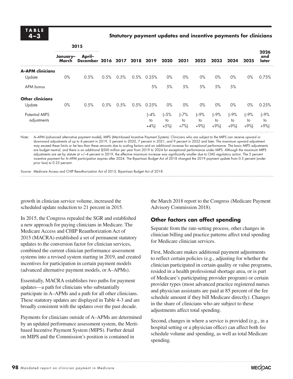### **4–3 Statutory payment updates and incentive payments for clinicians**

|                                      | 2015              |        |      |                              |      |                         |                        |                         |                       |                         |                       |                       |                      |  |  |
|--------------------------------------|-------------------|--------|------|------------------------------|------|-------------------------|------------------------|-------------------------|-----------------------|-------------------------|-----------------------|-----------------------|----------------------|--|--|
|                                      | January-<br>March | April- |      | December 2016 2017 2018 2019 |      | 2020                    | 2021                   | 2022                    | 2023                  | 2024                    | 2025                  | 2026<br>and<br>later  |                      |  |  |
| <b>A-APM clinicians</b>              |                   |        |      |                              |      |                         |                        |                         |                       |                         |                       |                       |                      |  |  |
| Update                               | $0\%$             | 0.5%   | 0.5% | 0.5%                         | 0.5% | 0.25%                   | $0\%$                  | $0\%$                   | $0\%$                 | $0\%$                   | $0\%$                 | $0\%$                 | 0.75%                |  |  |
| APM bonus                            |                   |        |      |                              |      | 5%                      | 5%                     | 5%                      | 5%                    | 5%                      | 5%                    |                       |                      |  |  |
| <b>Other clinicians</b>              |                   |        |      |                              |      |                         |                        |                         |                       |                         |                       |                       |                      |  |  |
| Update                               | $0\%$             | 0.5%   | 0.5% | 0.5%                         | 0.5% | 0.25%                   | $0\%$                  | $0\%$                   | $0\%$                 | $0\%$                   | $0\%$                 | $0\%$                 | 0.25%                |  |  |
| <b>Potential MIPS</b><br>adjustments |                   |        |      |                              |      | $I - 4%$<br>to<br>$+4%$ | $(-5%$<br>to<br>$+5\%$ | $I - 7%$<br>to<br>$+7%$ | $(-9%$<br>to<br>$+9%$ | $I - 9%$<br>to<br>$+9%$ | $(-9%$<br>to<br>$+9%$ | $(-9%$<br>to<br>$+9%$ | $-9%$<br>to<br>$+9%$ |  |  |

Note: A-APM (advanced alternative payment model), MIPS (Merit-based Incentive Payment System). Clinicians who are subject to the MIPS can receive upward or downward adjustments of up to 4 percent in 2019, 5 percent in 2020, 7 percent in 2021, and 9 percent in 2022 and later. The maximum upward adjustment may exceed these limits or be less than these amounts due to scaling factors and an additional increase for exceptional performance. The basic MIPS adjustments are budget neutral, and there is an additional \$500 million per year from 2019 to 2024 for exceptional performance under MIPS. Although the maximum MIPS adjustments are set by statute at +/–4 percent in 2019, the effective maximum increase was significantly smaller due to CMS regulatory action. The 5 percent incentive payment for A–APM participation expires after 2024. The Bipartisan Budget Act of 2018 changed the 2019 payment update from 0.5 percent (under prior law) to 0.25 percent.

Source: Medicare Access and CHIP Reauthorization Act of 2015, Bipartisan Budget Act of 2018.

growth in clinician service volume, increased the scheduled update reduction to 21 percent in 2015.

In 2015, the Congress repealed the SGR and established a new approach for paying clinicians in Medicare. The Medicare Access and CHIP Reauthorization Act of 2015 (MACRA) established a set of permanent statutory updates to the conversion factor for clinician services, combined the current clinician performance assessment systems into a revised system starting in 2019, and created incentives for participation in certain payment models (advanced alternative payment models, or A–APMs).

Essentially, MACRA establishes two paths for payment updates—a path for clinicians who substantially participate in A–APMs and a path for all other clinicians. These statutory updates are displayed in Table 4-3 and are broadly consistent with the updates over the past decade.

Payments for clinicians outside of A–APMs are determined by an updated performance assessment system, the Meritbased Incentive Payment System (MIPS). Further detail on MIPS and the Commission's position is contained in

the March 2018 report to the Congress (Medicare Payment Advisory Commission 2018).

### **Other factors can affect spending**

Separate from the rate-setting process, other changes in clinician billing and practice patterns affect total spending for Medicare clinician services.

First, Medicare makes additional payment adjustments to reflect certain policies (e.g., adjusting for whether the clinician participated in certain quality or value programs, resided in a health professional shortage area, or is part of Medicare's participating provider program) or certain provider types (most advanced practice registered nurses and physician assistants are paid at 85 percent of the fee schedule amount if they bill Medicare directly). Changes in the share of clinicians who are subject to these adjustments affect total spending.

Second, changes in where a service is provided (e.g., in a hospital setting or a physician office) can affect both fee schedule volume and spending, as well as total Medicare spending.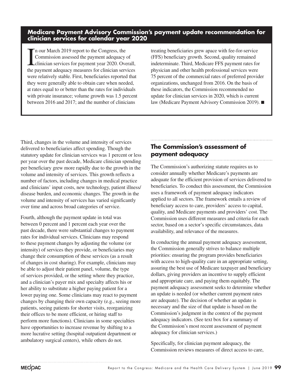**Medicare Payment Advisory Commission's payment update recommendation for clinician services for calendar year 2020**

In our March 2019 report to the Congress, the<br>Commission assessed the payment adequacy of<br>clinician services for payment year 2020. Overall,<br>the payment adequacy measures for clinician services n our March 2019 report to the Congress, the Commission assessed the payment adequacy of clinician services for payment year 2020. Overall, were relatively stable. First, beneficiaries reported that they were generally able to obtain care when needed, at rates equal to or better than the rates for individuals with private insurance; volume growth was 1.5 percent between 2016 and 2017; and the number of clinicians

treating beneficiaries grew apace with fee-for-service (FFS) beneficiary growth. Second, quality remained indeterminate. Third, Medicare FFS payment rates for physician and other health professional services were 75 percent of the commercial rates of preferred provider organizations, unchanged from 2016. On the basis of these indicators, the Commission recommended no update for clinician services in 2020, which is current law (Medicare Payment Advisory Commission 2019). ■

Third, changes in the volume and intensity of services delivered to beneficiaries affect spending. Though the statutory update for clinician services was 1 percent or less per year over the past decade, Medicare clinician spending per beneficiary grew more rapidly due to the growth in the volume and intensity of services. This growth reflects a number of factors, including changes in medical practice and clinicians' input costs, new technology, patient illness/ disease burden, and economic changes. The growth in the volume and intensity of services has varied significantly over time and across broad categories of service.

Fourth, although the payment update in total was between 0 percent and 1 percent each year over the past decade, there were substantial changes to payment rates for individual services. Clinicians may respond to these payment changes by adjusting the volume (or intensity) of services they provide, or beneficiaries may change their consumption of these services (as a result of changes in cost sharing). For example, clinicians may be able to adjust their patient panel, volume, the type of services provided, or the setting where they practice, and a clinician's payer mix and specialty affects his or her ability to substitute a higher paying patient for a lower paying one. Some clinicians may react to payment changes by changing their own capacity (e.g., seeing more patients, seeing patients for shorter visits, reorganizing their offices to be more efficient, or hiring staff to perform more functions). Clinicians in some specialties have opportunities to increase revenue by shifting to a more lucrative setting (hospital outpatient department or ambulatory surgical centers), while others do not.

### **The Commission's assessment of payment adequacy**

The Commission's authorizing statute requires us to consider annually whether Medicare's payments are adequate for the efficient provision of services delivered to beneficiaries. To conduct this assessment, the Commission uses a framework of payment adequacy indicators applied to all sectors. The framework entails a review of beneficiary access to care, providers' access to capital, quality, and Medicare payments and providers' cost. The Commission uses different measures and criteria for each sector, based on a sector's specific circumstances, data availability, and relevance of the measures.

In conducting the annual payment adequacy assessment, the Commission generally strives to balance multiple priorities: ensuring the program provides beneficiaries with access to high-quality care in an appropriate setting, assuring the best use of Medicare taxpayer and beneficiary dollars, giving providers an incentive to supply efficient and appropriate care, and paying them equitably. The payment adequacy assessment seeks to determine whether an update is needed (or whether current payment rates are adequate). The decision of whether an update is necessary and the size of that update is based on the Commission's judgment in the context of the payment adequacy indicators. (See text box for a summary of the Commission's most recent assessment of payment adequacy for clinician services.)

Specifically, for clinician payment adequacy, the Commission reviews measures of direct access to care,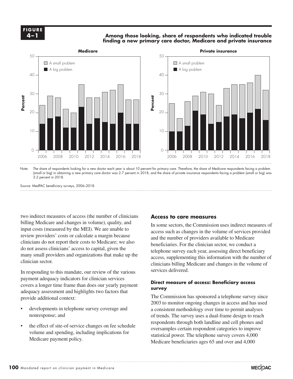### **Among those looking, share of respondents who indicated trouble finding a new primary care doctor, Medicare and private insurance**



Note: The share of respondents looking for a new doctor each year is about 10 percent for primary care. Therefore, the share of Medicare respondents facing a problem (small or big) in obtaining a new primary care doctor was 2.7 percent in 2018, and the share of private insurance respondents facing a problem (small or big) was 3.2 percent in 2018.

Source: MedPAC beneficiary surveys, 2006–2018.

two indirect measures of access (the number of clinicians billing Medicare and changes in volume), quality, and input costs (measured by the MEI). We are unable to review providers' costs or calculate a margin because clinicians do not report their costs to Medicare; we also do not assess clinicians' access to capital, given the the many small providers and organizations that make up the the decess current the data is in the data is in the data is in the data is in the data is in the data is in the data is in the data is in the data is in the data extend the clinician sector.

payment adequacy indicators for clinician services covers a longer time frame than does our yearly payment<br> **• I can't survey** adequacy assessment and highlights two factors that provide additional context:

- developments in telephone survey coverage and  $\alpha$  consequences and  $\alpha$ nonresponse; and
- the effect of site-of-service changes on fee schedule volume and spending, including implications for Medicare payment policy.

### **Access to care measures**

In some sectors, the Commission uses indirect measures of access such as changes in the volume of services provided and the number of providers available to Medicare beneficiaries. For the clinician sector, we conduct a telephone survey each year, assessing direct beneficiary access, supplementing this information with the number of clinicians billing Medicare and changes in the volume of services delivered. In responding to this mandate, our review of the various services delivered.

### **Direct measure of access: Beneficiary access survey**

 $\frac{1}{2}$  additional context:  $\frac{1}{2}$   $\frac{1}{2}$   $\frac{1}{2}$   $\frac{1}{2}$  The Commission has sponsored a telephone survey since 2003 to monitor ongoing changes in access and has used a consistent methodology over time to permit analyses of trends. The survey uses a dual-frame design to reach respondents through both landline and cell phones and oversamples certain respondent categories to improve statistical power. The telephone survey covers 4,000 Medicare beneficiaries ages 65 and over and 4,000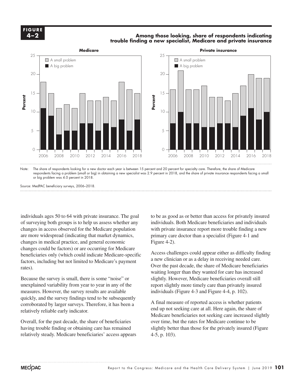

### **Among those looking, share of respondents indicating trouble finding a new specialist, Medicare and private insurance**



Note: The share of respondents looking for a new doctor each year is between 15 percent and 20 percent for specialty care. Therefore, the share of Medicare respondents facing a problem (small or big) in obtaining a new specialist was 2.9 percent in 2018, and the share of private insurance respondents facing a small or big problem was 4.0 percent in 2018.

Source: MedPAC beneficiary surveys, 2006–2018.

individuals ages 50 to 64 with private insurance. The goal of surveying both groups is to help us assess whether any changes in access observed for the Medicare population are more widespread (indicating that market dynamics, changes in medical practice, and general economic changes could be factors) or are occurring for Medicare beneficiaries only (which could indicate Medicare-specific Access changes could be ractors) of are occurring for Medicarefactors, including but not limited to Medicare's payment a new c rates).

Because the survey is small, there is some "noise" or slightly. Ho unexplained variability from year to year in any of the report slightly more ti measures. However, the survey results are available  $quickly, and the survey findings tend to be subsequently$ <br>quickly, and the survey findings tend to be subsequently corroborated by larger surveys. Therefore, it has been a relatively reliable early indicator.

Overall, for the past decade, the share of beneficiaries having trouble finding or obtaining care has remained relatively steady. Medicare beneficiaries' access appears

to be as good as or better than access for privately insured individuals. Both Medicare beneficiaries and individuals with private insurance report more trouble finding a new primary care doctor than a specialist (Figure 4-1 and Figure 4-2).

Access challenges could appear either as difficulty finding a new clinician or as a delay in receiving needed care. Over the past decade, the share of Medicare beneficiaries by the past decade, the share of Medicale beneficiants waiting longer than they wanted for care has increased slightly. However, Medicare beneficiaries overall still report slightly more timely care than privately insured individuals (Figure 4-3 and Figure 4-4, p. 102).

> A final measure of reported access is whether patients end up not seeking care at all. Here again, the share of Medicare beneficiaries not seeking care increased slightly over time, but the rates for Medicare continue to be slightly better than those for the privately insured (Figure 4-5, p. 103).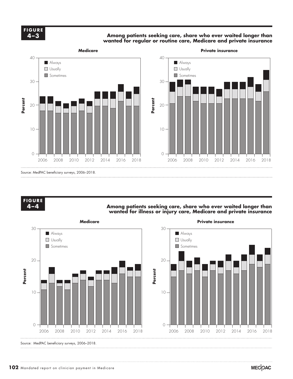Among patients seeking care*,* share who ever waited longer than **wanted for regular or routine care, Medicare and private insurance**



### **FIGURE FIGURE X-X 4–4**

### Among patients seeking care*,* share who ever waited longer than **wanted for illness or injury care, Medicare and private insurance**

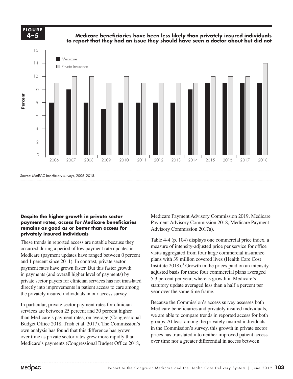**4-X FIGURE 4–5**

**Medicare beneficiaries have been less likely than privately insured individuals to report that they had an issue they should have seen a doctor about but did not**



### **Despite the higher growth in private sector**  payment rates, access for Medicare beneficiaries **remains as good as or better than access for privately insured individuals**

These trends in reported access are notable because they occurred during a period of low payment rate updates in Medicare (payment updates have ranged between 0 percent and 1 percent since 2011). In contrast, private sector plans with 39 payment rates have grown faster. But this faster growth has a linear 2018). Gro in payments (and overall higher level of payments) by private sector payers for clinician services has not translated directly into improvements in patient access to care among the privately insured individuals in our access survey. We allowed the same time

In particular, private sector payment rates for clinician services are between 25 percent and 30 percent higher than Medicare's payment rates, on average (Congressional  $\frac{we}{dx}$ Budget Office 2018, Trish et al. 2017). The Commission's own analysis has found that this difference has grown over time as private sector rates grew more rapidly than Medicare's payments (Congressional Budget Office 2018,

Medicare Payment Advisory Commission 2019, Medicare Payment Advisory Commission 2018, Medicare Payment Advisory Commission 2017a).

**Freestanding Medicare margins....**

Table 4-4 (p. 104) displays one commercial price index, a measure of intensity-adjusted price per service for office visits aggregated from four large commercial insurance plans with 39 million covered lives (Health Care Cost Institute  $2018$ ).<sup>3</sup> Growth in the prices paid on an intensityadjusted basis for these four commercial plans averaged 5.3 percent per year, whereas growth in Medicare's  $\frac{1}{2}$  for the contribution of the matter of the matter. The statutory update averaged less than a half a percent per statutory update averaged less than a half a percent per year over the same time frame.

equal to select to sect or payment rates for clinician Because the Commission's access survey assesses both Medicare beneficiaries and privately insured individuals, we are able to compare trends in reported access for both groups. At least among the privately insured individuals  $\frac{1}{\text{SUS}}$  book found that this difference has grown in the Commission's survey, this growth in private sector prices has translated into neither improved patient access over time nor a greater differential in access between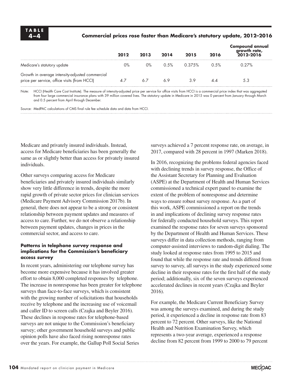### **4–4 Commercial prices rose faster than Medicare's statutory update, 2012–2016**

|                                                                                                 | 2012 | 2013  | 2014 | 2015   | 2016 | <b>Compound annual</b><br>growth rate,<br>2012-2016 |
|-------------------------------------------------------------------------------------------------|------|-------|------|--------|------|-----------------------------------------------------|
| Medicare's statutory update                                                                     | 0%   | $0\%$ | 0.5% | 0.375% | 0.5% | 0.27%                                               |
| Growth in average intensity-adjusted commercial<br>price per service, office visits (from HCCI) | 4.7  | 6.7   | 69   | 39     |      |                                                     |

Note: HCCI (Health Care Cost Institute). The measure of intensity-adjusted price per service for office visits from HCCI is a commercial price index that was aggregated from four large commercial insurance plans with 39 million covered lives. The statutory update in Medicare in 2015 was 0 percent from January through March and 0.5 percent from April through December.

Source: MedPAC calculations of CMS final rule fee schedule data and data from HCCI.

Medicare and privately insured individuals. Instead, access for Medicare beneficiaries has been generally the same as or slightly better than access for privately insured individuals.

Other surveys comparing access for Medicare beneficiaries and privately insured individuals similarly show very little difference in trends, despite the more rapid growth of private sector prices for clinician services (Medicare Payment Advisory Commission 2017b). In general, there does not appear to be a strong or consistent relationship between payment updates and measures of access to care. Further, we do not observe a relationship between payment updates, changes in prices in the commercial sector, and access to care.

### **Patterns in telephone survey response and implications for the Commission's beneficiary access survey**

In recent years, administering our telephone survey has become more expensive because it has involved greater effort to obtain 8,000 completed responses by telephone. The increase in nonresponse has been greater for telephone surveys than face-to-face surveys, which is consistent with the growing number of solicitations that households receive by telephone and the increasing use of voicemail and caller ID to screen calls (Czajka and Beyler 2016). These declines in response rates for telephone-based surveys are not unique to the Commission's beneficiary survey; other government household surveys and public opinion polls have also faced rising nonresponse rates over the years. For example, the Gallup Poll Social Series

surveys achieved a 7 percent response rate, on average, in 2017, compared with 28 percent in 1997 (Marken 2018).

In 2016, recognizing the problems federal agencies faced with declining trends in survey response, the Office of the Assistant Secretary for Planning and Evaluation (ASPE) at the Department of Health and Human Services commissioned a technical expert panel to examine the extent of the problem of nonresponse and determine ways to ensure robust survey response. As a part of this work, ASPE commissioned a report on the trends in and implications of declining survey response rates for federally conducted household surveys. This report examined the response rates for seven surveys sponsored by the Department of Health and Human Services. These surveys differ in data collection methods, ranging from computer-assisted interviews to random-digit dialing. The study looked at response rates from 1995 to 2015 and found that while the response rate and trends differed from survey to survey, all surveys in the study experienced some decline in their response rates for the first half of the study period; additionally, six of the seven surveys experienced accelerated declines in recent years (Czajka and Beyler 2016).

For example, the Medicare Current Beneficiary Survey was among the surveys examined, and during the study period, it experienced a decline in response rate from 83 percent to 72 percent. Other surveys, like the National Health and Nutrition Examination Survey, which represents a two-year average, experienced a response decline from 82 percent from 1999 to 2000 to 79 percent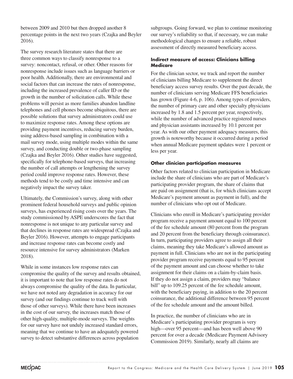between 2009 and 2010 but then dropped another 8 percentage points in the next two years (Czajka and Beyler 2016).

The survey research literature states that there are three common ways to classify nonresponse to a survey: noncontact, refusal, or other. Other reasons for nonresponse include issues such as language barriers or poor health. Additionally, there are environmental and social factors that can increase the rates of nonresponse, including the increased prevalence of caller ID or the growth in the number of solicitation calls. While these problems will persist as more families abandon landline telephones and cell phones become ubiquitous, there are possible solutions that survey administrators could use to maximize response rates. Among these options are providing payment incentives, reducing survey burden, using address-based sampling in combination with a mail survey mode, using multiple modes within the same survey, and conducting double or two-phase sampling (Czajka and Beyler 2016). Other studies have suggested, specifically for telephone-based surveys, that increasing the number of call attempts or lengthening the survey period could improve response rates. However, these methods tend to be costly and time intensive and can negatively impact the survey taker.

Ultimately, the Commission's survey, along with other prominent federal household surveys and public opinion surveys, has experienced rising costs over the years. The study commissioned by ASPE underscores the fact that nonresponse is not unique to any particular survey and that declines in response rates are widespread (Czajka and Beyler 2016). However, attempts to engage participants and increase response rates can become costly and resource intensive for survey administrators (Marken 2018).

While in some instances low response rates can compromise the quality of the survey and results obtained, it is important to note that low response rates do not always compromise the quality of the data. In particular, we have not noted any degradation in accuracy for our survey (and our findings continue to track well with those of other surveys). While there have been increases in the cost of our survey, the increases match those of other high-quality, multiple-mode surveys. The weights for our survey have not unduly increased standard errors, meaning that we continue to have an adequately powered survey to detect substantive differences across population

subgroups. Going forward, we plan to continue monitoring our survey's reliability so that, if necessary, we can make methodological changes to ensure a reliable, robust assessment of directly measured beneficiary access.

### **Indirect measure of access: Clinicians billing Medicare**

For the clinician sector, we track and report the number of clinicians billing Medicare to supplement the direct beneficiary access survey results. Over the past decade, the number of clinicians serving Medicare FFS beneficiaries has grown (Figure 4-6, p. 106). Among types of providers, the number of primary care and other specialty physicians increased by 1.8 and 1.5 percent per year, respectively, while the number of advanced practice registered nurses and physician assistants increased by 10.1 percent per year. As with our other payment adequacy measures, this growth is noteworthy because it occurred during a period when annual Medicare payment updates were 1 percent or less per year.

### **Other clinician participation measures**

Other factors related to clinician participation in Medicare include the share of clinicians who are part of Medicare's participating provider program, the share of claims that are paid on assignment (that is, for which clinicians accept Medicare's payment amount as payment in full), and the number of clinicians who opt out of Medicare.

Clinicians who enroll in Medicare's participating provider program receive a payment amount equal to 100 percent of the fee schedule amount (80 percent from the program and 20 percent from the beneficiary through coinsurance). In turn, participating providers agree to assign all their claims, meaning they take Medicare's allowed amount as payment in full. Clinicians who are not in the participating provider program receive payments equal to 95 percent of the payment amount and can choose whether to take assignment for their claims on a claim-by-claim basis. If they do not assign a claim, providers may "balance bill" up to 109.25 percent of the fee schedule amount, with the beneficiary paying, in addition to the 20 percent coinsurance, the additional difference between 95 percent of the fee schedule amount and the amount billed.

In practice, the number of clinicians who are in Medicare's participating provider program is very high—over 95 percent—and has been well above 90 percent for over a decade (Medicare Payment Advisory Commission 2019). Similarly, nearly all claims are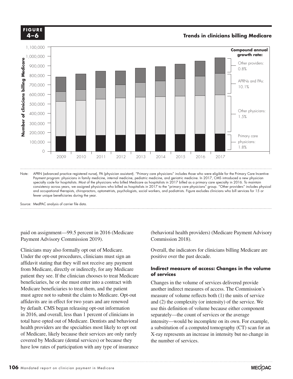

consistency across years, we assigned physicians who billed as hospitalists in 2017 to the "primary care physicians" group. "Other providers" includes physical and occupational therapists, chiropractors, optometrists, psychologists, social workers, and podiatrists. Figure excludes clinicians who bill services for 15 or fewer unique beneficiaries during the year.

Source: MedPAC analysis of carrier file data. Note: Note and Source are in InDesign.

**4-X**

paid on assignment—99.5 percent in 2016 (Medicare Payment Advisory Commission 2019).

Clinicians may also formally opt out of Medicare. Under the opt-out procedures, clinicians must sign an positive over affidavit stating that they will not receive any payment from Medicare, directly or indirectly, for any Medicare patient they see. If the clinician chooses to treat Medicare beneficiaries, he or she must enter into a contract with Medicare beneficiaries to treat them, and the patient another indirect measure must agree not to submit the claim to Medicare. Opt-out affidavits are in effect for two years and are renewed by default. CMS began releasing opt-out information in 2016, and overall, less than 1 percent of clinicians in separately total have opted out of Medicare. Dentists and behavioral health providers are the specialties most likely to opt out a substitution of a computed tomographic book 2007 of Medicare, likely because their services are only rarely covered by Medicare (dental services) or because they have low rates of participation with any type of insurance

(behavioral health providers) (Medicare Payment Advisory Commission 2018).

Overall, the indicators for clinicians billing Medicare are positive over the past decade.

### **Indirect measure of access: Changes in the volume of services**

aries, he or she must enter into a contract with Changes in the volume of services delivered provide another indirect measures of access. The Commission's measure of volume reflects both (1) the units of service  $\frac{1}{2}$  and (2) the complexity (or intensity) of the service. We are in effect for two years and are renewed use this definition of volume because either component separately—the count of services or the average intensity—would be incomplete on its own. For example, a substitution of a computed tomography (CT) scan for an X-ray represents an increase in intensity but no change in the number of services.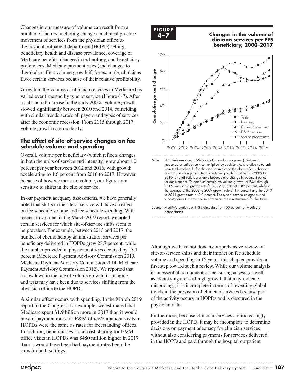Changes in our measure of volume can result from a number of factors, including changes in clinical practice, movement of services from the physician office to the hospital outpatient department (HOPD) setting, beneficiary health and disease prevalence, coverage of Medicare benefits, changes in technology, and beneficiary preferences. Medicare payment rates (and changes to them) also affect volume growth if, for example, clinicians favor certain services because of their relative profitability.

Growth in the volume of clinician services in Medicare has varied over time and by type of service (Figure 4-7). After a substantial increase in the early 2000s, volume growth slowed significantly between 2010 and 2014, coinciding with similar trends across all payers and types of services after the economic recession. From 2015 through 2017, volume growth rose modestly.

### **The effect of site-of-service changes on fee schedule volume and spending**

Overall, volume per beneficiary (which reflects changes in both the units of service and intensity) grew about 1.0 percent per year between 2012 and 2016, with growth accelerating to 1.6 percent from 2016 to 2017. However, because of how we measure volume, our figures are sensitive to shifts in the site of service.

In our payment adequacy assessments, we have generally noted that shifts in the site of service will have an effect on fee schedule volume and fee schedule spending. With respect to volume, in the March 2019 report, we noted certain services for which site-of-service shifts seem to be prevalent. For example, between 2013 and 2017, the number of chemotherapy administration services per beneficiary delivered in HOPDs grew 28.7 percent, while the number provided in physician offices declined by 13.1 percent (Medicare Payment Advisory Commission 2019, Medicare Payment Advisory Commission 2014, Medicare Payment Advisory Commission 2012). We reported that a slowdown in the rate of volume growth for imaging and tests may have been due to services shifting from the physician office to the HOPD.

A similar effect occurs with spending. In the March 2019 report to the Congress, for example, we estimated that Medicare spent \$1.9 billion more in 2017 than it would have if payment rates for E&M office/outpatient visits in HOPDs were the same as rates for freestanding offices. In addition, beneficiaries' total cost sharing for E&M office visits in HOPDs was \$480 million higher in 2017 than it would have been had payment rates been the same in both settings.



**4–7 Changes in the volume of clinician services per FFS beneficiary, 2000–2017 Volume growth has raised... FIGURE**



Note: FFS (fee-for-service). E&M (evaluation and management). Volume is measured as units of service multiplied by each service's relative value unit from the fee schedule for clinician services and therefore reflects changes in units and changes in intensity. Volume growth for E&M from 2009 to 2010 is not directly observable because of a change in payment policy for consultations. To compute cumulative volume growth for E&M through 2016, we used a growth rate for 2009 to 2010 of 1.85 percent, which is the average of the 2008 to 2009 growth rate of 1.7 percent and the 2010 to 2011 growth rate of 2.0 percent. The type-of-service categories and subcategories that we used in prior years were restructured for this table.

Although we have not done a comprehensive review of site-of-service shifts and their impact on fee schedule volume and spending in 15 years, this chapter provides a first step toward such a review. While our volume analysis the step toward such a review. While our volume analysis<br>is an essential component of measuring access (as well as an essential component of measuring access (as we as identifying areas of high growth that may indicate mispricing), it is incomplete in terms of revealing global trends in the provision of clinician services because part of the activity occurs in HOPDs and is obscured in the physician data.

Furthermore, because clinician services are increasingly provided in the HOPD, it may be incomplete to determine decisions on payment adequacy for clinician services without also considering payments for services delivered in the HOPD and paid through the hospital outpatient

Source: MedPAC analysis of FFS claims data for 100 percent of Medicare beneficiaries.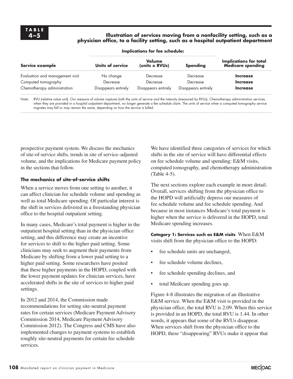### **4–5 Illustration of services moving from a nonfacility setting, such as a physician office, to a facility setting, such as a hospital outpatient department**

| Service example                 | Units of service    | Volume<br>(units x RVUs) | <b>Spending</b>     | <b>Implications for total</b><br>Medicare spending |
|---------------------------------|---------------------|--------------------------|---------------------|----------------------------------------------------|
| Evaluation and management visit | No change           | Decrease                 | Decrease            | <b>Increase</b>                                    |
| Computed tomography             | Decrease            | Decrease                 | Decrease            | <b>Increase</b>                                    |
| Chemotherapy administration     | Disappears entirely | Disappears entirely      | Disappears entirely | <b>Increase</b>                                    |

**Implications for fee schedule:**

Note: RVU (relative value unit). Our measure of volume captures both the units of service and the intensity (measured by RVUs). Chemotherapy administration services, when they are provided in a hospital outpatient department, no longer generate a fee schedule claim. The units of service when a computed tomography service migrates may fall or may remain the same, depending on how the service is billed.

prospective payment system. We discuss the mechanics of site-of-service shifts, trends in site of service–adjusted volume, and the implications for Medicare payment policy in the sections that follow.

### **The mechanics of site-of-service shifts**

When a service moves from one setting to another, it can affect clinician fee schedule volume and spending as well as total Medicare spending. Of particular interest is the shift in services delivered in a freestanding physician office to the hospital outpatient setting.

In many cases, Medicare's total payment is higher in the outpatient hospital setting than in the physician office setting, and this difference may create an incentive for services to shift to the higher paid setting. Some clinicians may seek to augment their payments from Medicare by shifting from a lower paid setting to a higher paid setting. Some researchers have posited that these higher payments in the HOPD, coupled with the lower payment updates for clinician services, have accelerated shifts in the site of services to higher paid settings.

In 2012 and 2014, the Commission made recommendations for setting site-neutral payment rates for certain services (Medicare Payment Advisory Commission 2014, Medicare Payment Advisory Commission 2012). The Congress and CMS have also implemented changes to payment systems to establish roughly site-neutral payments for certain fee schedule services.

We have identified three categories of services for which shifts in the site of service will have differential effects on fee schedule volume and spending: E&M visits, computed tomography, and chemotherapy administration (Table 4-5).

The next sections explore each example in more detail. Overall, services shifting from the physician office to the HOPD will artificially depress our measures of fee schedule volume and fee schedule spending. And because in most instances Medicare's total payment is higher when the service is delivered in the HOPD, total Medicare spending increases.

**Category 1: Services such as E&M visits** When E&M visits shift from the physician office to the HOPD:

- fee schedule units are unchanged,
- fee schedule volume declines,
- fee schedule spending declines, and
- total Medicare spending goes up.

Figure 4-8 illustrates the migration of an illustrative E&M service. When the E&M visit is provided in the physician office, the total RVU is 2.09. When this service is provided in an HOPD, the total RVU is 1.44. In other words, it appears that some of the RVUs disappear. When services shift from the physician office to the HOPD, these "disappearing" RVUs make it appear that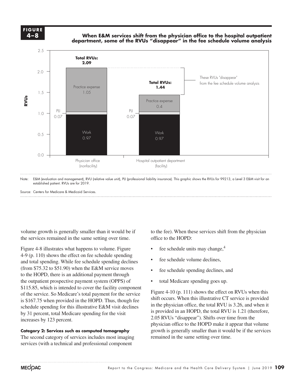**4-X FIGURE 4–8**

**FIGURE**

**When E&M services shift from the physician office to the hospital outpatient department, some of the RVUs "disappear" in the fee schedule volume analysis**

**Freestanding Medicare margins....**



Source: Centers for Medicare & Medicaid Services.

volume growth is generally smaller than it would be if the services remained in the same setting over time.

Figure 4-8 illustrates what happens to volume. Figure 4-9 (p. 110) shows the effect on fee schedule spending and total spending. While fee schedule spending declines **•** fee schede.  $(\text{from } $75.32 \text{ to } $51.90)$  when the E&M service moves  $\bullet$  fee schedule spectrum to the HOPD, there is an additional payment through  $\sim$ the outpatient prospective payment system (OPPS) of  $$115.85$ , which is intended to cover the facility component of the service. So Medicare's total payment for the service  $\frac{1120 \text{ F1}}{1116 \text{ s}}$ is \$167.75 when provided in the HOPD. Thus, though fee schedule spending for this illustrative E&M visit declines by 31 percent, total Medicare spending for the visit increases by 123 percent.  $2.05 \text{ m}$ 

The second category of services includes most imaging services (with a technical and professional component

to the fee). When these services shift from the physician office to the HOPD:

- fee schedule units may change, $4$
- fee schedule volume declines,
- fee schedule spending declines, and
- total Medicare spending goes up.

Figure 4-10 (p. 111) shows the effect on RVUs when this shift occurs. When this illustrative CT service is provided  $\frac{1}{2}$  when provided in the HOTD. Thus, though fee.<br>A spending for this illustrative E&M visit declines for modification office, the total RVU is 3.26, and when it is provided in an HOPD, the total RVU is 1.21 (therefore, 2.05 RVUs "disappear"). Shifts over time from the physician office to the HOPD make it appear that volume growth is generally smaller than it would be if the services remained in the same setting over time. **Category 2: Services such as computed tomography** examples a growth is generally smaller than it wo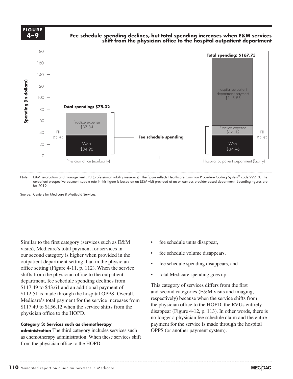

### **Fee schedule spending declines, but total spending increases when E&M services shift from the physician office to the hospital outpatient department**

**Freestanding Medicare margins....**



outpatient prospective payment system rate in this figure is based on an E&M visit provided at an on-campus provider-based department. Spending figures are for 2019.

Source: Centers for Medicare & Medicaid Services.

Similar to the first category (services such as E&M visits), Medicare's total payment for services in our second category is higher when provided in the outpatient department setting than in the physician  $\bullet$  fee scheet. office setting (Figure 4-11, p. 112). When the service shifts from the physician office to the outpatient shints from the physician office to the outpatient<br>department, fee schedule spending declines from \$117.49 to \$43.61 and an additional payment of This category of services differs from the first  $$112.51$  is made through the hospital OPPS. Overall, and second categories Medicare's total payment for the service increases from \$117.49 to \$156.12 when the service shifts from the physician office to the HOPD.

# no loi<br>Category 3: Services such as chemotherapy **binding style style styles)** paym

**administration** The third category includes services such OPPS (or another payment system). as chemotherapy administration. When these services shift from the physician office to the HOPD:

- fee schedule units disappear,
- fee schedule volume disappears,
- fee schedule spending disappears, and
- total Medicare spending goes up.

This category of services differs from the first and second categories (E&M visits and imaging, respectively) because when the service shifts from  $\frac{1}{2}$  to \$156.12 when the service shifts from the the physician office to the HOPD, the RVUs entirely disappear (Figure 4-12, p. 113). In other words, there is no longer a physician fee schedule claim and the entire payment for the service is made through the hospital OPPS (or another payment system).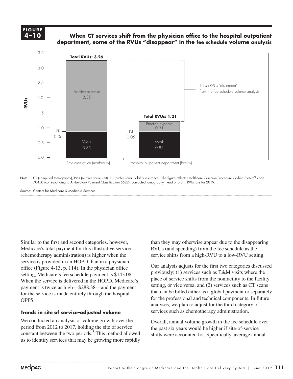### **FIGURE 4-X FIGURE 4–10**

### **When CT services shift from the physician office to the hospital outpatient department, some of the RVUs "disappear" in the fee schedule volume analysis**



Note: CT (computed tomography), RVU (relative value unit), PLI (professional liability insurance). The figure reflects Healthcare Common Procedure Coding System® code 70450 (corresponding to Ambulatory Payment Classification 5522), computed tomography, head or brain. RVUs are for 2019.

Source: Centers for Medicare & Medicaid Services.

Similar to the first and second categories, however, Medicare's total payment for this illustrative service **Constitution Constitution Constitution Constitution Constitution Constitution Constitution Constitution** service is provided in an HOPD than in a physician office (Figure 4-13, p. 114). In the physician office Uur analysis adjusts<br>
were viously: (1) servi setting, Medicare's fee schedule payment is \$143.08. When the service is delivered in the HOPD, Medicare's for the service is made entirely through the hospital OPPS.

### Trends in site of service–adjusted volume

We conducted an analysis of volume growth over the Overa period from 2012 to 2017, holding the site of service  $\frac{1}{2}$  constant between the two periods.<sup>5</sup> This method allowed shifts were accounted for. Specifical us to identify services that may be growing more rapidly

than they may otherwise appear due to the disappearing RVUs (and spending) from the fee schedule as the service shifts from a high-RVU to a low-RVU setting.

**Freestanding Medicare margins....**

Our analysis adjusts for the first two categories discussed previously: (1) services such as E&M visits where the place of service shifts from the nonfacility to the facility setting, or vice versa, and (2) services such as CT scans that can be billed either as a global payment or separately for the professional and technical components. In future future for the professional and technical components. In future analyses, we plan to adjust for the third category of services such as chemotherapy administration. payment is twice as high—\$288.38—and the payment setting, or vice versa, and (2) services such as C I scans

> Overall, annual volume growth in the fee schedule over the past six years would be higher if site-of-service shifts were accounted for. Specifically, average annual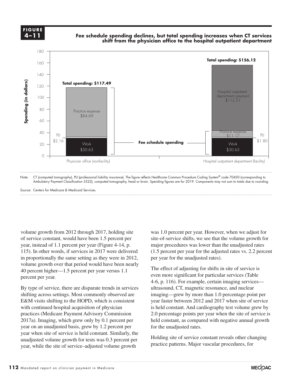**4-X FIGURE 4–11**

**FIGURE**

**Fee schedule spending declines, but total spending increases when CT services shift from the physician office to the hospital outpatient department**

**Freestanding Medicare margins....**



Source: Centers for Medicare & Medicaid Services.

volume growth from 2012 through 2017, holding site of service constant, would have been 1.5 percent per year, instead of 1.1 percent per year (Figure 4-14, p. 115). In other words, if services in 2017 were delivered in proportionally the same setting as they were in 2012, per year for volume growth over that period would have been nearly 40 percent higher—1.5 percent per year versus 1.1 The effect of adjusti percent per year.

By type of service, there are disparate trends in services shifting across settings. Most commonly observed are imaging—grew by mo E&M visits shifting to the HOPD, which is consistent with continued hospital acquisition of physician when commission advantuon of physician<br>practices (Medicare Payment Advisory Commission 2017a). Imaging, which grew only by 0.1 percent per held object styles year on an unadjusted basis, grew by 1.2 percent per  $\qquad$  for the unadjusted rates. year when site of service is held constant. Similarly, the unadjusted volume growth for tests was 0.3 percent per year, while the site of service–adjusted volume growth

was 1.0 percent per year. However, when we adjust for site-of-service shifts, we see that the volume growth for major procedures was lower than the unadjusted rates (1.5 percent per year for the adjusted rates vs. 2.2 percent per year for the unadjusted rates).

The effect of adjusting for shifts in site of service is even more significant for particular services (Table 4-6, p. 116). For example, certain imaging services of service, there are disparate trends in services ultrasound, CT, magnetic resonance, and nuclear imaging—grew by more than 1.0 percentage point per year faster between 2012 and 2017 when site of service of the first selection of physician between 2012 and 2017 when site of service<br>thrinued hospital acquisition of physician is held constant. And cardiography test volume grew by 2.0 percentage points per year when the site of service is held constant, as compared with negative annual growth for the unadjusted rates.

> Holding site of service constant reveals other changing practice patterns. Major vascular procedures, for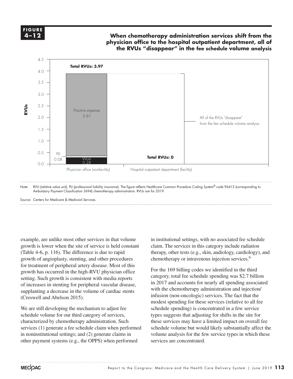**FIGURE FIGURE 4-X 4–12**

### When chemotherapy administration services shift from the **physician office to the hospital outpatient department, all of the RVUs "disappear" in the fee schedule volume analysis**



Note: RVU (relative value unit), PLI (professional liability insurance). The figure reflects Healthcare Common Procedure Coding System® code 96413 (corresponding to Ambulatory Payment Classification 5694) chemotherapy administration. RVUs are for 2019.

Source: Centers for Medicare & Medicaid Services.

example, are unlike most other services in that volume growth is lower when the site of service is held constant (Table 4-6, p. 116). The difference is due to rapid growth of angioplasty, stenting, and other procedures for treatment of peripheral artery disease. Most of this for the data in the high-RVU physician office For the 169 setting. Such growth is consistent with media reports category, total fee sc of increases in stenting for peripheral vascular disease, supplanting a decrease in the volume of cardiac stents (Creswell and Abelson 2015).

We are still developing the mechanism to adjust fee schedule volume for our third category of services, characterized by chemotherapy administration. Such services (1) generate a fee schedule claim when performed sched in noninstitutional settings; and (2) generate claims in volume analysis for the few service t other payment systems (e.g., the OPPS) when performed

in institutional settings, with no associated fee schedule claim. The services in this category include radiation therapy, other tests (e.g., skin, audiology, cardiology), and chemotherapy or intravenous injection services.6

For the 169 billing codes we identified in the third category, total fee schedule spending was \$2.7 billion in 2017 and accounts for nearly all spending associated with the chemotherapy administration and injection/  $\frac{1}{2}$  and Abelson 2015) infusion (non-oncologic) services. The fact that the modest spending for these services (relative to all fee schedule spending) is concentrated in a few service out a correspond in the set of the selection to differ the selection to selection to selection the site for selection to select items for modification to select items for shifts in the site for these services may have a limited impact on overall fee schedule volume but would likely substantially affect the volume analysis for the few service types in which these services are concentrated.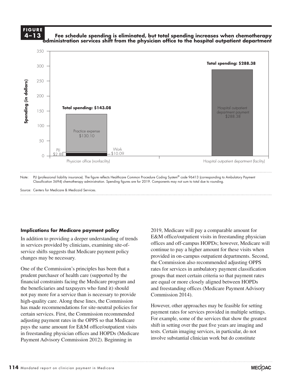### **FIGURE 4-X FIGURE 4–13**

### **Fee schedule spending is eliminated, but total spending increases when chemotherapy administration services shift from the physician office to the hospital outpatient department**



Source: Centers for Medicare & Medicaid Services.

### **Implications for Medicare payment policy**

In addition to providing a deeper understanding of trends in services provided by clinicians, examining site-ofservice shifts suggests that Medicare payment policy changes may be necessary. The provided in the Commission of the datasheet. Make updates in the commis-

One of the Commission's principles has been that a rates for services in prudent purchaser of health care (supported by the column to  $\frac{1}{2}$ financial constraints facing the Medicare program and the beneficiaries and taxpayers who fund it) should not pay more for a service than is necessary to provide Commission 2014). high-quality care. Along these lines, the Commission has made recommendations for site-neutral policies for nds made recommendations for site neutral poncies to certain services. First, the Commission recommended adjusting payment rates in the OPPS so that Medicare For expays the same amount for E&M office/outpatient visits shift in setting over the past five years in freestanding physician offices and HOPDs (Medicare Payment Advisory Commission 2012). Beginning in

2019, Medicare will pay a comparable amount for E&M office/outpatient visits in freestanding physician offices and off-campus HOPDs; however, Medicare will continue to pay a higher amount for these visits when provided in on-campus outpatient departments. Second, the Commission also recommended adjusting OPPS rates for services in ambulatory payment classification groups that meet certain criteria so that payment rates are equal or more closely aligned between HOPDs eficiaries and taxpayers who fund it) should and freestanding offices (Medicare Payment Advisory Commission 2014).

**Freestanding Medicare margins....**

anty care. Along these files, the commission<br>Le recommendations for site-neutral policies for However, other approaches may be feasible for setting payment rates for services provided in multiple settings. For example, some of the services that show the greatest shift in setting over the past five years are imaging and tests. Certain imaging services, in particular, do not involve substantial clinician work but do constitute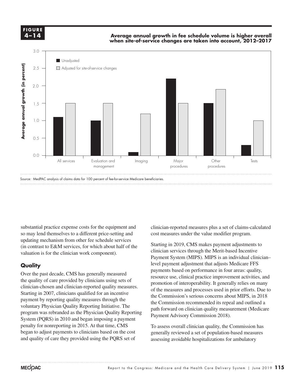**4-X FIGURE 4–14**

**FIGURE**

### **Average annual growth in fee schedule volume is higher overall when site-of-service changes are taken into account, 2012–2017**

**Freestanding Medicare margins....**



substantial practice expense costs for the equipment and so may lend themselves to a different price-setting and updating mechanism from other fee schedule services (in contrast to E&M services, for which about half of the valuation is for the clinician work component).

### **Quality**

Over the past decade, CMS has generally measured by the past decade, CMB has generally included the quality of care provided by clinicians using sets of Starting in 2007, clinicians qualified for an incentive the Commission's serio payment by reporting quality measures through the voluntary Physician Quality Reporting Initiative. The  $\frac{1}{2}$  program was rebranded as the Physician Quality Reporting System (PQRS) in 2010 and began imposing a payment penalty for nonreporting in 2015. At that time, CMS began to adjust payments to clinicians based on the cost and quality of care they provided using the PQRS set of

clinician-reported measures plus a set of claims-calculated cost measures under the value modifier program.

Starting in 2019, CMS makes payment adjustments to clinician services through the Merit-based Incentive Payment System (MIPS). MIPS is an individual clinician– level payment adjustment that adjusts Medicare FFS payments based on performance in four areas: quality, resource use, clinical practice improvement activities, and promotion of interoperability. It generally relies on many of the measures and processes used in prior efforts. Due to the Commission's serious concerns about MIPS, in 2018 the Commission recommended its repeal and outlined a<br>v Physician Quality Reporting Initiative. The path forward on clinician quality measurement (Medicare Payment Advisory Commission 2018). clinician-chosen and clinician-reported quality measures.<br>
of the magazines and processes used in prior offerts. Due to rayment sys

for nonreporting in 2015. At that time, CMS  $\qquad$  To assess overall clinician quality, the Commission has  $\qquad \qquad$ generally reviewed a set of population-based measures assessing avoidable hospitalizations for ambulatory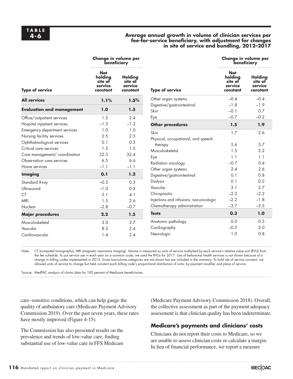### **Average annual growth in volume of clinician services per fee-for-service beneficiary, with adjustment for changes in site of service and bundling, 2012–2017**

|                                  |                                                         | Change in volume per<br>beneficiary       |                                         | Change in volume per<br>beneficiary                     |                                           |  |
|----------------------------------|---------------------------------------------------------|-------------------------------------------|-----------------------------------------|---------------------------------------------------------|-------------------------------------------|--|
| <b>Type of service</b>           | <b>Not</b><br>holdina<br>site of<br>service<br>constant | Holding<br>site of<br>service<br>constant | <b>Type of service</b>                  | <b>Not</b><br>holdina<br>site of<br>service<br>constant | Holding<br>site of<br>service<br>constant |  |
| <b>All services</b>              | Other organ systems<br>1.5%<br>1.1%                     |                                           | $-0.4$                                  | $-0.4$                                                  |                                           |  |
| <b>Evaluation and management</b> | 1.0                                                     | Digestive/gastrointestinal<br>1.5<br>Skin |                                         | $-1.8$<br>$-0.1$                                        | $-1.9$<br>0.7                             |  |
| Office/outpatient services       | 1.5                                                     | 2.4                                       | Eye                                     | $-0.7$                                                  | $-0.2$                                    |  |
| Hospital inpatient services      | $-1.3$                                                  | $-1.3$                                    | <b>Other procedures</b>                 | 1.5                                                     | 1.9                                       |  |
| Emergency department services    | 1.0                                                     | 1.0                                       | Skin                                    | 1.7                                                     | 2.6                                       |  |
| Nursing facility services        | 2.5                                                     | 2.5                                       | Physical, occupational, and speech      |                                                         |                                           |  |
| Ophthalmological services        | 0.1                                                     | 0.3                                       | therapy                                 | 5.6                                                     | 5.7                                       |  |
| Critical care services           | 1.5                                                     | 1.5                                       | Musculoskeletal                         | 1.5                                                     | 2.2                                       |  |
| Care management/ coordination    | 32.3                                                    | 32.4                                      | Eye                                     | 1.1                                                     | 1.1                                       |  |
| Observation care services        | 6.5                                                     | 6.6                                       | Radiation oncology                      | $-0.7$                                                  | 0.4                                       |  |
| Home services                    | $-1.1$                                                  | $-1.1$                                    | Other organ systems                     | 2.4                                                     | 2.6                                       |  |
| <b>Imaging</b>                   | 0.1                                                     | 1.2                                       | Digestive/gastrointestinal              | 0.1                                                     | 0.8                                       |  |
| Standard X-ray                   | $-0.3$                                                  | 0.3                                       | <b>Dialysis</b>                         | 0.1                                                     | 0.2                                       |  |
| Ultrasound                       | $-1.0$                                                  | 0.2                                       | Vascular                                | 3.1                                                     | 2.7                                       |  |
| <b>CT</b>                        | 3.1                                                     | 4.1                                       | Chiropractic                            | $-2.2$                                                  | $-2.2$                                    |  |
| MRI                              | 1.5                                                     | 2.6                                       | Injections and infusions: non-oncologic | $-2.2$                                                  | $-1.8$                                    |  |
| Nuclear                          | $-2.8$                                                  | $-0.7$                                    | Chemotherapy administration             | $-3.7$                                                  | $-3.5$                                    |  |
| <b>Major procedures</b>          | 2.2                                                     | 1.5                                       | <b>Tests</b>                            | 0.3                                                     | 1.0                                       |  |
| Musculoskeletal                  | 3.0                                                     | 2.7                                       | Anatomic pathology                      | 0.0                                                     | 0.3                                       |  |
| Vascular                         | 8.3                                                     | 2.4                                       | Cardiography                            | $-0.5$                                                  | 2.0                                       |  |
| Cardiovascular                   | 1.4                                                     | 2.4                                       | Neurologic                              | 1.0                                                     | 0.8                                       |  |

Note: CT (computed tomography), MRI (magnetic resonance imaging). Volume is measured as units of service multiplied by each service's relative value unit (RVU) from the fee schedule. To put service use in each year on a common scale, we used the RVUs for 2017. Use of behavioral health services is not shown because of a change in billing codes implemented in 2013. Some low-volume categories are not shown but are included in the summary. To hold site of service constant, we allowed units of service to change but held constant each billing code's proportional distribution of units, by payment modifier and place of service.

Source: MedPAC analysis of claims data for 100 percent of Medicare beneficiaries.

care–sensitive conditions, which can help gauge the quality of ambulatory care (Medicare Payment Advisory Commission 2019). Over the past seven years, these rates have mostly improved (Figure 4-15).

The Commission has also presented results on the prevalence and trends of low-value care, finding substantial use of low-value care in FFS Medicare (Medicare Payment Advisory Commission 2018). Overall, the collective assessment as part of the payment adequacy assessment is that clinician quality has been indeterminate.

### **Medicare's payments and clinicians' costs**

Clinicians do not report their costs to Medicare, so we are unable to assess clinician costs or calculate a margin. In lieu of financial performance, we report a measure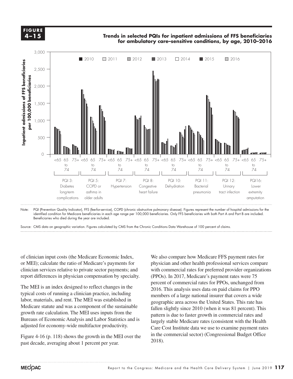**X-X 4–15FIGURE**

Trends in selected PQIs for inpatient admissions of FFS beneficiaries<br>In the all of the change of the change of FFS beneficiaries and the change of the change of the change of the c **for ambulatory care–sensitive conditions, by age, 2010–2016**



Note: PQI (Prevention Quality Indicator), FFS (fee-for-service), COPD (chronic obstructive pulmonary disease). Figures represent the number of hospital admissions for the identified condition for Medicare beneficiaries in each age range per 100,000 beneficiaries. Only FFS beneficiaries with both Part A and Part B are included. Beneficiaries who died during the year are included.

Source: CMS data on geographic variation. Figures calculated by CMS from the Chronic Conditions Data Warehouse of 100 percent of claims.

of clinician input costs (the Medicare Economic Index, or MEI); calculate the ratio of Medicare's payments for clinician services relative to private sector payments; and report differences in physician compensation by specialty.

The MEI is an index designed to reflect changes in the typical costs of running a clinician practice, including labor, materials, and rent. The MEI was established in Medicare statute and was a component of the sustainable growth rate calculation. The MEI uses inputs from the Bureaus of Economic Analysis and Labor Statistics and is adjusted for economy-wide multifactor productivity.

Figure  $4-16$  (p. 118) shows the growth in the MEI over the past decade, averaging about 1 percent per year.

We also compare how Medicare FFS payment rates for physician and other health professional services compare with commercial rates for preferred provider organizations (PPOs). In 2017, Medicare's payment rates were 75 percent of commercial rates for PPOs, unchanged from 2016. This analysis uses data on paid claims for PPO members of a large national insurer that covers a wide geographic area across the United States. This rate has fallen slightly since 2010 (when it was 81 percent). This pattern is due to faster growth in commercial rates and largely stable Medicare rates (consistent with the Health Care Cost Institute data we use to examine payment rates in the commercial sector) (Congressional Budget Office 2018).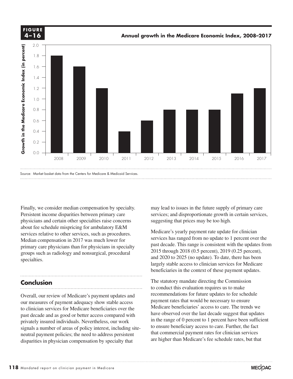

Finally, we consider median compensation by specialty. Persistent income disparities between primary care physicians and certain other specialties raise concerns about fee schedule mispricing for ambulatory E&M services relative to other services, such as procedures. Median compensation in 2017 was much lower for primary care physicians than for physicians in specialty groups such as radiology and nonsurgical, procedural  $\frac{2015 \text{ through}}{2020 \text{ to}}$ specialties.

### **Conclusion**

Overall, our review of Medicare's payment updates and our measures of payment adequacy show stable access to clinician services for Medicare beneficiaries over the past decade and as good or better access compared with have privately insured individuals. Nevertheless, our work signals a number of areas of policy interest, including siteneutral payment policies; the need to address persistent disparities in physician compensation by specialty that

• The column total were added manually were added manually were added manually were added manually were added <br>The column total were added manually were added manually were added manually were added manually were added ma

may lead to issues in the future supply of primary care services; and disproportionate growth in certain services, suggesting that prices may be too high.

Medicare's yearly payment rate update for clinician services has ranged from no update to 1 percent over the past decade. This range is consistent with the updates from 2015 through 2018 (0.5 percent), 2019 (0.25 percent), and 2020 to 2025 (no update). To date, there has been largely stable access to clinician services for Medicare beneficiaries in the context of these payment updates.

**USION** The statutory mandate directing the Commission to conduct this evaluation requires us to make Frequency of Medicare's payment updates and **Frequencies** to fee schedule in Independent out in Independent on the legend, so I'll include the schedule in Independent on Independent on Independent on Independent on Indepen our formation of induction to payment apartos and<br>surface that would be necessary to ensure its formula selection to select the black selection to the black selection of the black selection to graph selection to graph sele Medicare beneficiaries' access to care. The trends we have observed over the last decade suggest that updates in the range of 0 percent to 1 percent have been sufficient  $\frac{1}{2}$  insured individuals. Nevertheress, our work<br>a number of areas of policy interest including site. to ensure beneficiary access to care. Further, the fact that commercial payment rates for clinician services are higher than Medicare's fee schedule rates, but that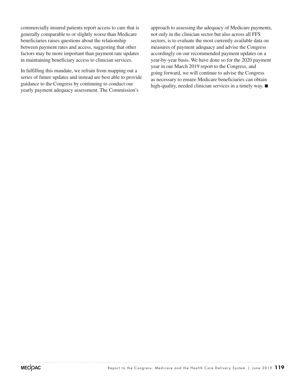commercially insured patients report access to care that is generally comparable to or slightly worse than Medicare beneficiaries raises questions about the relationship between payment rates and access, suggesting that other factors may be more important than payment rate updates in maintaining beneficiary access to clinician services.

In fulfilling this mandate, we refrain from mapping out a series of future updates and instead are best able to provide guidance to the Congress by continuing to conduct our yearly payment adequacy assessment. The Commission's

approach to assessing the adequacy of Medicare payments, not only in the clinician sector but also across all FFS sectors, is to evaluate the most currently available data on measures of payment adequacy and advise the Congress accordingly on our recommended payment updates on a year-by-year basis. We have done so for the 2020 payment year in our March 2019 report to the Congress, and going forward, we will continue to advise the Congress as necessary to ensure Medicare beneficiaries can obtain high-quality, needed clinician services in a timely way. ■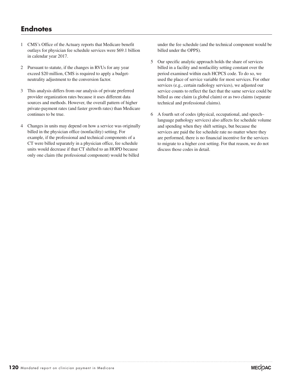### **Endnotes**

- 1 CMS's Office of the Actuary reports that Medicare benefit outlays for physician fee schedule services were \$69.1 billion in calendar year 2017.
- 2 Pursuant to statute, if the changes in RVUs for any year exceed \$20 million, CMS is required to apply a budgetneutrality adjustment to the conversion factor.
- 3 This analysis differs from our analysis of private preferred provider organization rates because it uses different data sources and methods. However, the overall pattern of higher private-payment rates (and faster growth rates) than Medicare continues to be true.
- 4 Changes in units may depend on how a service was originally billed in the physician office (nonfacility) setting. For example, if the professional and technical components of a CT were billed separately in a physician office, fee schedule units would decrease if that CT shifted to an HOPD because only one claim (the professional component) would be billed

under the fee schedule (and the technical component would be billed under the OPPS).

- 5 Our specific analytic approach holds the share of services billed in a facility and nonfacility setting constant over the period examined within each HCPCS code. To do so, we used the place of service variable for most services. For other services (e.g., certain radiology services), we adjusted our service counts to reflect the fact that the same service could be billed as one claim (a global claim) or as two claims (separate technical and professional claims).
- 6 A fourth set of codes (physical, occupational, and speech– language pathology services) also affects fee schedule volume and spending when they shift settings, but because the services are paid the fee schedule rate no matter where they are performed, there is no financial incentive for the services to migrate to a higher cost setting. For that reason, we do not discuss those codes in detail.